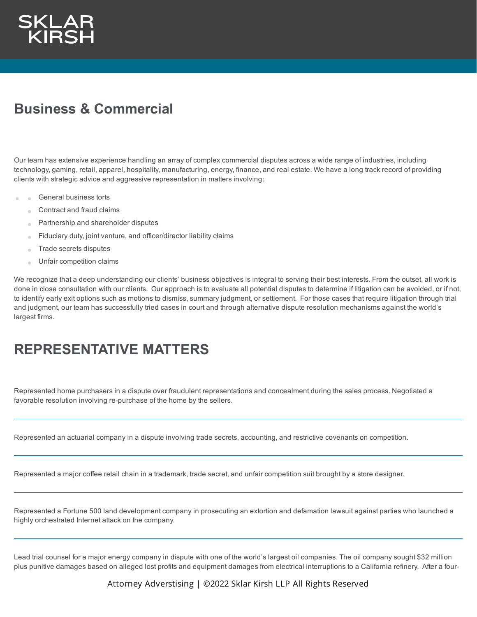

## **Business & Commercial**

Our team has extensive experience handling an array of complex commercial disputes across a wide range of industries, including technology, gaming, retail, apparel, hospitality, manufacturing, energy, finance, and real estate. We have a long track record of providing clients with strategic advice and aggressive representation in matters involving:

- General business torts  $\sim$ 
	- Contract and fraud claims
	- Partnership and shareholder disputes
	- Fiduciary duty, joint venture, and officer/director liability claims
	- Trade secrets disputes  $\alpha$
	- Unfair competition claims

We recognize that a deep understanding our clients' business objectives is integral to serving their best interests. From the outset, all work is done in close consultation with our clients. Our approach is to evaluate all potential disputes to determine if litigation can be avoided, or if not, to identify early exit options such as motions to dismiss, summary judgment, or settlement. For those cases that require litigation through trial and judgment, our team has successfully tried cases in court and through alternative dispute resolution mechanisms against the world's largest firms.

## **REPRESENTATIVE MATTERS**

Represented home purchasers in a dispute over fraudulent representations and concealment during the sales process. Negotiated a favorable resolution involving re-purchase of the home by the sellers.

Represented an actuarial company in a dispute involving trade secrets, accounting, and restrictive covenants on competition.

Represented a major coffee retail chain in a trademark, trade secret, and unfair competition suit brought by a store designer.

Represented a Fortune 500 land development company in prosecuting an extortion and defamation lawsuit against parties who launched a highly orchestrated Internet attack on the company.

Lead trial counsel for a major energy company in dispute with one of the world's largest oil companies. The oil company sought \$32 million plus punitive damages based on alleged lost profits and equipment damages from electrical interruptions to a California refinery. After a four-

Attorney Adverstising | ©2022 Sklar Kirsh LLP All Rights Reserved